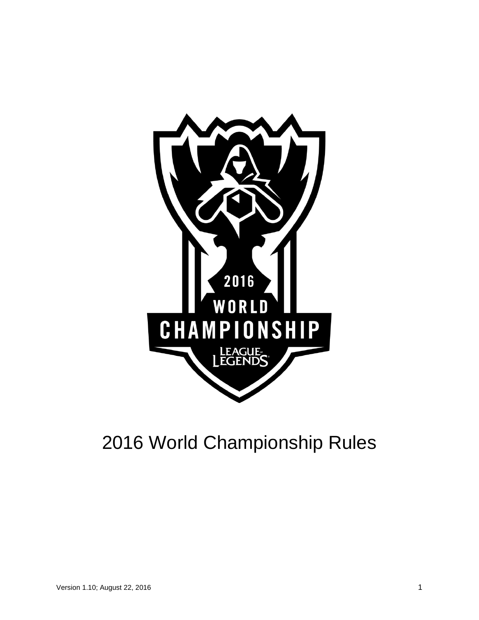

# 2016 World Championship Rules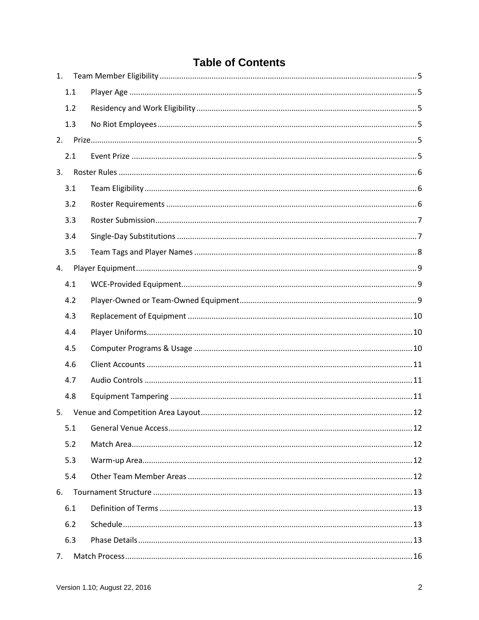# **Table of Contents**

| 1. |     |  |
|----|-----|--|
|    | 1.1 |  |
|    | 1.2 |  |
|    | 1.3 |  |
|    |     |  |
|    | 2.1 |  |
| 3. |     |  |
|    | 3.1 |  |
|    | 3.2 |  |
|    | 3.3 |  |
|    | 3.4 |  |
|    | 3.5 |  |
| 4. |     |  |
|    | 4.1 |  |
|    | 4.2 |  |
|    | 4.3 |  |
|    | 4.4 |  |
|    | 4.5 |  |
|    | 4.6 |  |
|    | 4.7 |  |
|    | 4.8 |  |
| 5. |     |  |
|    | 5.1 |  |
|    | 5.2 |  |
|    | 5.3 |  |
|    | 5.4 |  |
| 6. |     |  |
|    | 6.1 |  |
|    | 6.2 |  |
|    | 6.3 |  |
|    |     |  |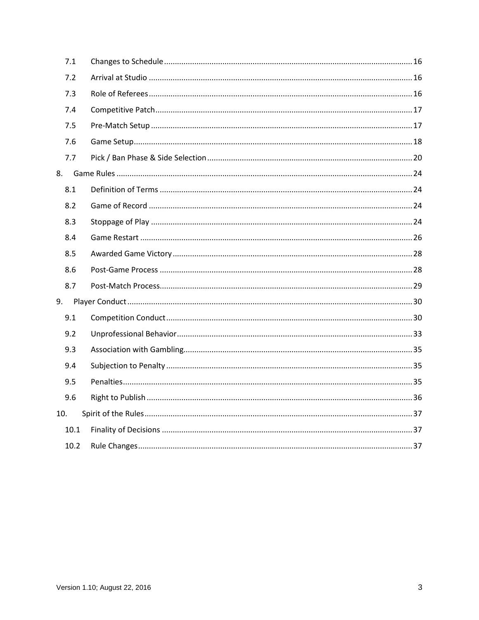|     | 7.1  |  |
|-----|------|--|
|     | 7.2  |  |
|     | 7.3  |  |
|     | 7.4  |  |
|     | 7.5  |  |
|     | 7.6  |  |
|     | 7.7  |  |
|     |      |  |
|     | 8.1  |  |
|     | 8.2  |  |
|     | 8.3  |  |
|     | 8.4  |  |
|     | 8.5  |  |
|     | 8.6  |  |
|     | 8.7  |  |
| 9.  |      |  |
|     | 9.1  |  |
|     | 9.2  |  |
|     | 9.3  |  |
|     | 9.4  |  |
|     | 9.5  |  |
|     | 9.6  |  |
| 10. |      |  |
|     | 10.1 |  |
|     | 10.2 |  |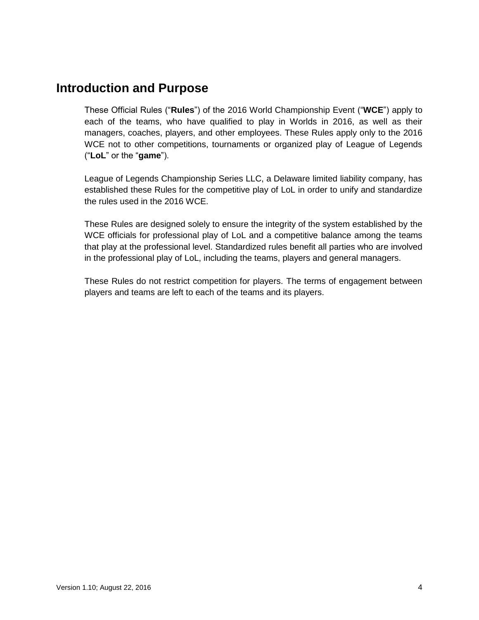# **Introduction and Purpose**

These Official Rules ("**Rules**") of the 2016 World Championship Event ("**WCE**") apply to each of the teams, who have qualified to play in Worlds in 2016, as well as their managers, coaches, players, and other employees. These Rules apply only to the 2016 WCE not to other competitions, tournaments or organized play of League of Legends ("**LoL**" or the "**game**").

League of Legends Championship Series LLC, a Delaware limited liability company, has established these Rules for the competitive play of LoL in order to unify and standardize the rules used in the 2016 WCE.

These Rules are designed solely to ensure the integrity of the system established by the WCE officials for professional play of LoL and a competitive balance among the teams that play at the professional level. Standardized rules benefit all parties who are involved in the professional play of LoL, including the teams, players and general managers.

These Rules do not restrict competition for players. The terms of engagement between players and teams are left to each of the teams and its players.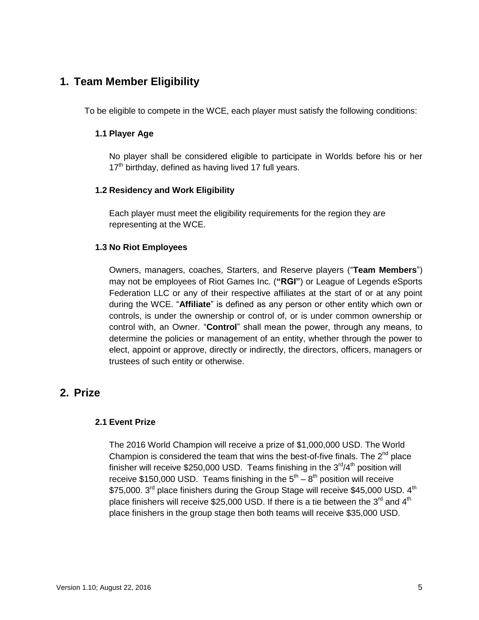# <span id="page-4-0"></span>**1. Team Member Eligibility**

<span id="page-4-1"></span>To be eligible to compete in the WCE, each player must satisfy the following conditions:

### **1.1 Player Age**

No player shall be considered eligible to participate in Worlds before his or her  $17<sup>th</sup>$  birthday, defined as having lived 17 full years.

### <span id="page-4-2"></span>**1.2 Residency and Work Eligibility**

Each player must meet the eligibility requirements for the region they are representing at the WCE.

### <span id="page-4-3"></span>**1.3 No Riot Employees**

Owners, managers, coaches, Starters, and Reserve players ("**Team Members**") may not be employees of Riot Games Inc. (**"RGI"**) or League of Legends eSports Federation LLC or any of their respective affiliates at the start of or at any point during the WCE. "**Affiliate**" is defined as any person or other entity which own or controls, is under the ownership or control of, or is under common ownership or control with, an Owner. "**Control**" shall mean the power, through any means, to determine the policies or management of an entity, whether through the power to elect, appoint or approve, directly or indirectly, the directors, officers, managers or trustees of such entity or otherwise.

# <span id="page-4-5"></span><span id="page-4-4"></span>**2. Prize**

### **2.1 Event Prize**

The 2016 World Champion will receive a prize of \$1,000,000 USD. The World Champion is considered the team that wins the best-of-five finals. The  $2^{nd}$  place finisher will receive \$250,000 USD. Teams finishing in the  $3<sup>rd</sup>/4<sup>th</sup>$  position will receive \$150,000 USD. Teams finishing in the  $5<sup>th</sup> - 8<sup>th</sup>$  position will receive  $\$75{,}000$ .  $3^{\mathsf{rd}}$  place finishers during the Group Stage will receive  $\$45{,}000$  USD.  $4^{\mathsf{th}}$ place finishers will receive \$25,000 USD. If there is a tie between the 3<sup>rd</sup> and 4<sup>th</sup> place finishers in the group stage then both teams will receive \$35,000 USD.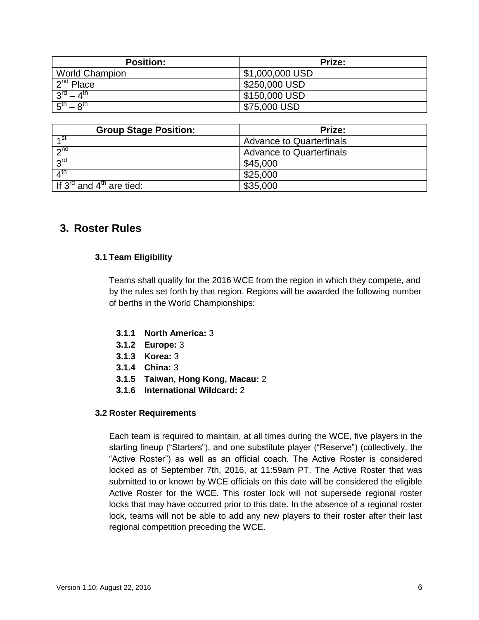| <b>Position:</b>                      | Prize:          |
|---------------------------------------|-----------------|
| <b>World Champion</b>                 | \$1,000,000 USD |
| $2nd$ Place                           | \$250,000 USD   |
| rdي<br>$\mathbf{\Lambda}^{\text{th}}$ | \$150,000 USD   |
| _⊾th<br>$-8$ <sup>th</sup>            | \$75,000 USD    |

| <b>Group Stage Position:</b>                     | Prize:                          |
|--------------------------------------------------|---------------------------------|
| ⊿st                                              | <b>Advance to Quarterfinals</b> |
| 2 <sub>nd</sub>                                  | <b>Advance to Quarterfinals</b> |
| $2^{\text{rd}}$                                  | \$45,000                        |
| $\mathbf{A}^{\text{th}}$                         | \$25,000                        |
| If $3^{\text{rd}}$ and $4^{\text{th}}$ are tied: | \$35,000                        |

# <span id="page-5-1"></span><span id="page-5-0"></span>**3. Roster Rules**

### **3.1 Team Eligibility**

Teams shall qualify for the 2016 WCE from the region in which they compete, and by the rules set forth by that region. Regions will be awarded the following number of berths in the World Championships:

- **3.1.1 North America:** 3
- **3.1.2 Europe:** 3
- **3.1.3 Korea:** 3
- **3.1.4 China:** 3
- **3.1.5 Taiwan, Hong Kong, Macau:** 2
- **3.1.6 International Wildcard:** 2

#### <span id="page-5-2"></span>**3.2 Roster Requirements**

Each team is required to maintain, at all times during the WCE, five players in the starting lineup ("Starters"), and one substitute player ("Reserve") (collectively, the "Active Roster") as well as an official coach. The Active Roster is considered locked as of September 7th, 2016, at 11:59am PT. The Active Roster that was submitted to or known by WCE officials on this date will be considered the eligible Active Roster for the WCE. This roster lock will not supersede regional roster locks that may have occurred prior to this date. In the absence of a regional roster lock, teams will not be able to add any new players to their roster after their last regional competition preceding the WCE.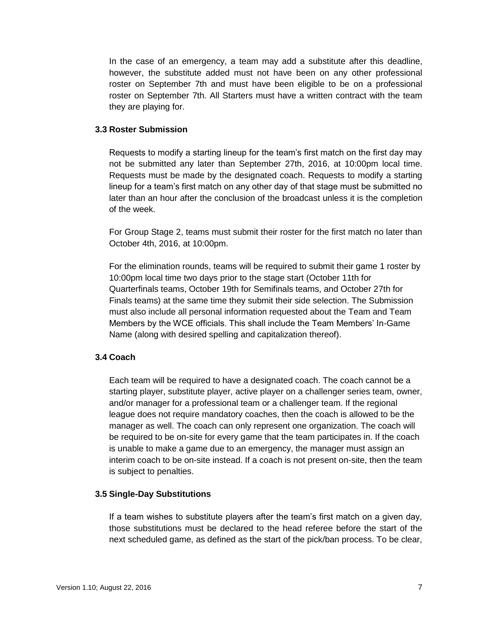In the case of an emergency, a team may add a substitute after this deadline, however, the substitute added must not have been on any other professional roster on September 7th and must have been eligible to be on a professional roster on September 7th. All Starters must have a written contract with the team they are playing for.

#### <span id="page-6-0"></span>**3.3 Roster Submission**

Requests to modify a starting lineup for the team's first match on the first day may not be submitted any later than September 27th, 2016, at 10:00pm local time. Requests must be made by the designated coach. Requests to modify a starting lineup for a team's first match on any other day of that stage must be submitted no later than an hour after the conclusion of the broadcast unless it is the completion of the week.

For Group Stage 2, teams must submit their roster for the first match no later than October 4th, 2016, at 10:00pm.

For the elimination rounds, teams will be required to submit their game 1 roster by 10:00pm local time two days prior to the stage start (October 11th for Quarterfinals teams, October 19th for Semifinals teams, and October 27th for Finals teams) at the same time they submit their side selection. The Submission must also include all personal information requested about the Team and Team Members by the WCE officials. This shall include the Team Members' In-Game Name (along with desired spelling and capitalization thereof).

## <span id="page-6-1"></span>**3.4 Coach**

Each team will be required to have a designated coach. The coach cannot be a starting player, substitute player, active player on a challenger series team, owner, and/or manager for a professional team or a challenger team. If the regional league does not require mandatory coaches, then the coach is allowed to be the manager as well. The coach can only represent one organization. The coach will be required to be on-site for every game that the team participates in. If the coach is unable to make a game due to an emergency, the manager must assign an interim coach to be on-site instead. If a coach is not present on-site, then the team is subject to penalties.

#### **3.5 Single-Day Substitutions**

If a team wishes to substitute players after the team's first match on a given day, those substitutions must be declared to the head referee before the start of the next scheduled game, as defined as the start of the pick/ban process. To be clear,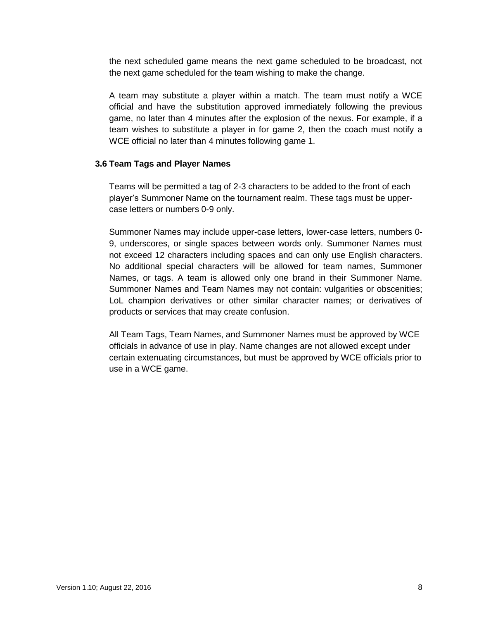the next scheduled game means the next game scheduled to be broadcast, not the next game scheduled for the team wishing to make the change.

A team may substitute a player within a match. The team must notify a WCE official and have the substitution approved immediately following the previous game, no later than 4 minutes after the explosion of the nexus. For example, if a team wishes to substitute a player in for game 2, then the coach must notify a WCE official no later than 4 minutes following game 1.

#### <span id="page-7-0"></span>**3.6 Team Tags and Player Names**

Teams will be permitted a tag of 2-3 characters to be added to the front of each player's Summoner Name on the tournament realm. These tags must be uppercase letters or numbers 0-9 only.

Summoner Names may include upper-case letters, lower-case letters, numbers 0- 9, underscores, or single spaces between words only. Summoner Names must not exceed 12 characters including spaces and can only use English characters. No additional special characters will be allowed for team names, Summoner Names, or tags. A team is allowed only one brand in their Summoner Name. Summoner Names and Team Names may not contain: vulgarities or obscenities; LoL champion derivatives or other similar character names; or derivatives of products or services that may create confusion.

All Team Tags, Team Names, and Summoner Names must be approved by WCE officials in advance of use in play. Name changes are not allowed except under certain extenuating circumstances, but must be approved by WCE officials prior to use in a WCE game.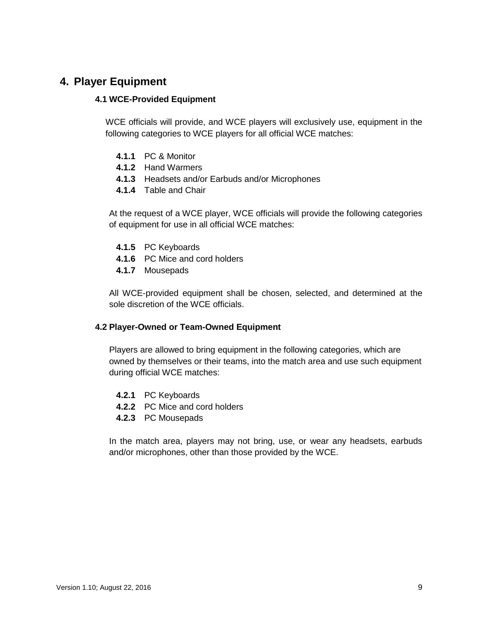# <span id="page-8-1"></span><span id="page-8-0"></span>**4. Player Equipment**

#### **4.1 WCE-Provided Equipment**

WCE officials will provide, and WCE players will exclusively use, equipment in the following categories to WCE players for all official WCE matches:

- **4.1.1** PC & Monitor
- **4.1.2** Hand Warmers
- **4.1.3** Headsets and/or Earbuds and/or Microphones
- **4.1.4** Table and Chair

At the request of a WCE player, WCE officials will provide the following categories of equipment for use in all official WCE matches:

- **4.1.5** PC Keyboards
- **4.1.6** PC Mice and cord holders
- **4.1.7** Mousepads

All WCE-provided equipment shall be chosen, selected, and determined at the sole discretion of the WCE officials.

#### <span id="page-8-2"></span>**4.2 Player-Owned or Team-Owned Equipment**

Players are allowed to bring equipment in the following categories, which are owned by themselves or their teams, into the match area and use such equipment during official WCE matches:

- **4.2.1** PC Keyboards
- **4.2.2** PC Mice and cord holders
- **4.2.3** PC Mousepads

In the match area, players may not bring, use, or wear any headsets, earbuds and/or microphones, other than those provided by the WCE.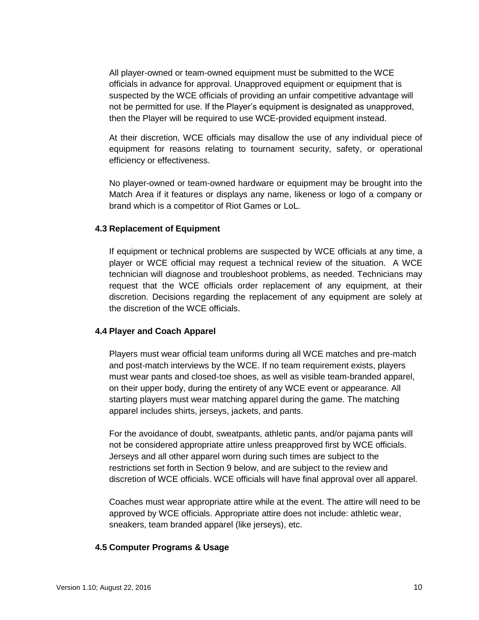All player-owned or team-owned equipment must be submitted to the WCE officials in advance for approval. Unapproved equipment or equipment that is suspected by the WCE officials of providing an unfair competitive advantage will not be permitted for use. If the Player's equipment is designated as unapproved, then the Player will be required to use WCE-provided equipment instead.

At their discretion, WCE officials may disallow the use of any individual piece of equipment for reasons relating to tournament security, safety, or operational efficiency or effectiveness.

No player-owned or team-owned hardware or equipment may be brought into the Match Area if it features or displays any name, likeness or logo of a company or brand which is a competitor of Riot Games or LoL.

#### <span id="page-9-0"></span>**4.3 Replacement of Equipment**

If equipment or technical problems are suspected by WCE officials at any time, a player or WCE official may request a technical review of the situation. A WCE technician will diagnose and troubleshoot problems, as needed. Technicians may request that the WCE officials order replacement of any equipment, at their discretion. Decisions regarding the replacement of any equipment are solely at the discretion of the WCE officials.

#### <span id="page-9-1"></span>**4.4 Player and Coach Apparel**

Players must wear official team uniforms during all WCE matches and pre-match and post-match interviews by the WCE. If no team requirement exists, players must wear pants and closed-toe shoes, as well as visible team-branded apparel, on their upper body, during the entirety of any WCE event or appearance. All starting players must wear matching apparel during the game. The matching apparel includes shirts, jerseys, jackets, and pants.

For the avoidance of doubt, sweatpants, athletic pants, and/or pajama pants will not be considered appropriate attire unless preapproved first by WCE officials. Jerseys and all other apparel worn during such times are subject to the restrictions set forth in Section 9 below, and are subject to the review and discretion of WCE officials. WCE officials will have final approval over all apparel.

Coaches must wear appropriate attire while at the event. The attire will need to be approved by WCE officials. Appropriate attire does not include: athletic wear, sneakers, team branded apparel (like jerseys), etc.

#### <span id="page-9-2"></span>**4.5 Computer Programs & Usage**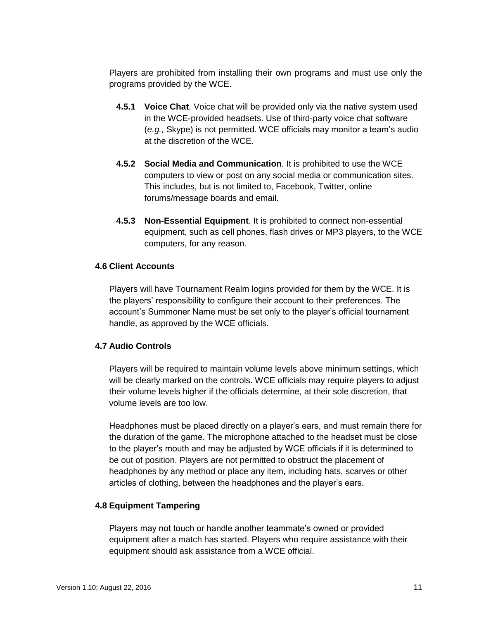Players are prohibited from installing their own programs and must use only the programs provided by the WCE.

- **4.5.1 Voice Chat**. Voice chat will be provided only via the native system used in the WCE-provided headsets. Use of third-party voice chat software (*e.g.,* Skype) is not permitted. WCE officials may monitor a team's audio at the discretion of the WCE.
- **4.5.2 Social Media and Communication**. It is prohibited to use the WCE computers to view or post on any social media or communication sites. This includes, but is not limited to, Facebook, Twitter, online forums/message boards and email.
- **4.5.3 Non-Essential Equipment**. It is prohibited to connect non-essential equipment, such as cell phones, flash drives or MP3 players, to the WCE computers, for any reason.

#### <span id="page-10-0"></span>**4.6 Client Accounts**

Players will have Tournament Realm logins provided for them by the WCE. It is the players' responsibility to configure their account to their preferences. The account's Summoner Name must be set only to the player's official tournament handle, as approved by the WCE officials.

#### <span id="page-10-1"></span>**4.7 Audio Controls**

Players will be required to maintain volume levels above minimum settings, which will be clearly marked on the controls. WCE officials may require players to adjust their volume levels higher if the officials determine, at their sole discretion, that volume levels are too low.

Headphones must be placed directly on a player's ears, and must remain there for the duration of the game. The microphone attached to the headset must be close to the player's mouth and may be adjusted by WCE officials if it is determined to be out of position. Players are not permitted to obstruct the placement of headphones by any method or place any item, including hats, scarves or other articles of clothing, between the headphones and the player's ears.

### <span id="page-10-2"></span>**4.8 Equipment Tampering**

Players may not touch or handle another teammate's owned or provided equipment after a match has started. Players who require assistance with their equipment should ask assistance from a WCE official.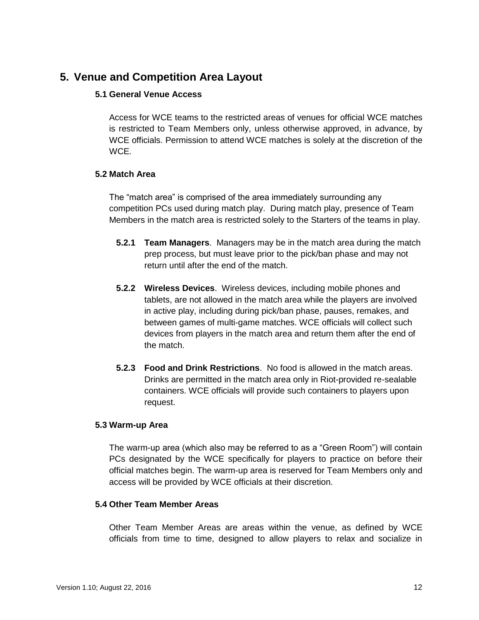# <span id="page-11-1"></span><span id="page-11-0"></span>**5. Venue and Competition Area Layout**

### **5.1 General Venue Access**

Access for WCE teams to the restricted areas of venues for official WCE matches is restricted to Team Members only, unless otherwise approved, in advance, by WCE officials. Permission to attend WCE matches is solely at the discretion of the WCE.

## <span id="page-11-2"></span>**5.2 Match Area**

The "match area" is comprised of the area immediately surrounding any competition PCs used during match play. During match play, presence of Team Members in the match area is restricted solely to the Starters of the teams in play.

- **5.2.1 Team Managers**. Managers may be in the match area during the match prep process, but must leave prior to the pick/ban phase and may not return until after the end of the match.
- **5.2.2 Wireless Devices**. Wireless devices, including mobile phones and tablets, are not allowed in the match area while the players are involved in active play, including during pick/ban phase, pauses, remakes, and between games of multi-game matches. WCE officials will collect such devices from players in the match area and return them after the end of the match.
- **5.2.3 Food and Drink Restrictions**. No food is allowed in the match areas. Drinks are permitted in the match area only in Riot-provided re-sealable containers. WCE officials will provide such containers to players upon request.

### <span id="page-11-3"></span>**5.3 Warm-up Area**

The warm-up area (which also may be referred to as a "Green Room") will contain PCs designated by the WCE specifically for players to practice on before their official matches begin. The warm-up area is reserved for Team Members only and access will be provided by WCE officials at their discretion.

### <span id="page-11-4"></span>**5.4 Other Team Member Areas**

Other Team Member Areas are areas within the venue, as defined by WCE officials from time to time, designed to allow players to relax and socialize in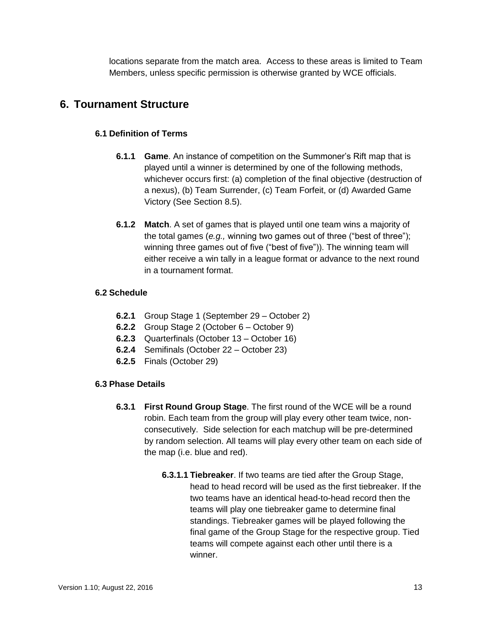locations separate from the match area. Access to these areas is limited to Team Members, unless specific permission is otherwise granted by WCE officials.

# <span id="page-12-1"></span><span id="page-12-0"></span>**6. Tournament Structure**

# **6.1 Definition of Terms**

- **6.1.1 Game**. An instance of competition on the Summoner's Rift map that is played until a winner is determined by one of the following methods, whichever occurs first: (a) completion of the final objective (destruction of a nexus), (b) Team Surrender, (c) Team Forfeit, or (d) Awarded Game Victory (See Section 8.5).
- **6.1.2 Match**. A set of games that is played until one team wins a majority of the total games (*e.g.,* winning two games out of three ("best of three"); winning three games out of five ("best of five")). The winning team will either receive a win tally in a league format or advance to the next round in a tournament format.

## <span id="page-12-2"></span>**6.2 Schedule**

- **6.2.1** Group Stage 1 (September 29 October 2)
- **6.2.2** Group Stage 2 (October 6 October 9)
- **6.2.3** Quarterfinals (October 13 October 16)
- **6.2.4** Semifinals (October 22 October 23)
- **6.2.5** Finals (October 29)

### <span id="page-12-3"></span>**6.3 Phase Details**

- **6.3.1 First Round Group Stage**. The first round of the WCE will be a round robin. Each team from the group will play every other team twice, nonconsecutively. Side selection for each matchup will be pre-determined by random selection. All teams will play every other team on each side of the map (i.e. blue and red).
	- **6.3.1.1 Tiebreaker**. If two teams are tied after the Group Stage, head to head record will be used as the first tiebreaker. If the two teams have an identical head-to-head record then the teams will play one tiebreaker game to determine final standings. Tiebreaker games will be played following the final game of the Group Stage for the respective group. Tied teams will compete against each other until there is a winner.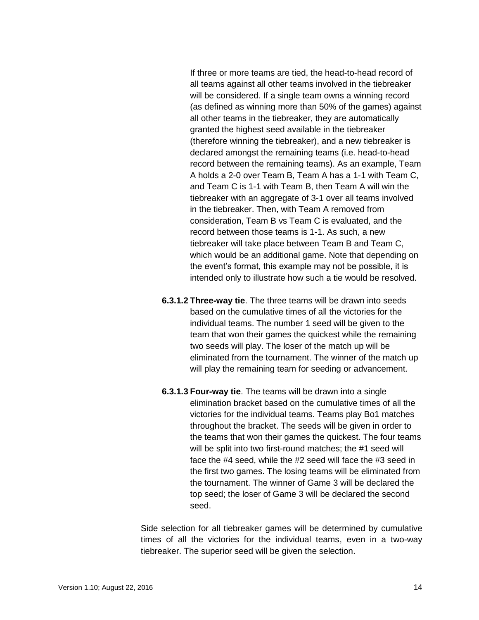If three or more teams are tied, the head-to-head record of all teams against all other teams involved in the tiebreaker will be considered. If a single team owns a winning record (as defined as winning more than 50% of the games) against all other teams in the tiebreaker, they are automatically granted the highest seed available in the tiebreaker (therefore winning the tiebreaker), and a new tiebreaker is declared amongst the remaining teams (i.e. head-to-head record between the remaining teams). As an example, Team A holds a 2-0 over Team B, Team A has a 1-1 with Team C, and Team C is 1-1 with Team B, then Team A will win the tiebreaker with an aggregate of 3-1 over all teams involved in the tiebreaker. Then, with Team A removed from consideration, Team B vs Team C is evaluated, and the record between those teams is 1-1. As such, a new tiebreaker will take place between Team B and Team C, which would be an additional game. Note that depending on the event's format, this example may not be possible, it is intended only to illustrate how such a tie would be resolved.

- **6.3.1.2 Three-way tie**. The three teams will be drawn into seeds based on the cumulative times of all the victories for the individual teams. The number 1 seed will be given to the team that won their games the quickest while the remaining two seeds will play. The loser of the match up will be eliminated from the tournament. The winner of the match up will play the remaining team for seeding or advancement.
- **6.3.1.3 Four-way tie**. The teams will be drawn into a single elimination bracket based on the cumulative times of all the victories for the individual teams. Teams play Bo1 matches throughout the bracket. The seeds will be given in order to the teams that won their games the quickest. The four teams will be split into two first-round matches; the #1 seed will face the #4 seed, while the #2 seed will face the #3 seed in the first two games. The losing teams will be eliminated from the tournament. The winner of Game 3 will be declared the top seed; the loser of Game 3 will be declared the second seed.

Side selection for all tiebreaker games will be determined by cumulative times of all the victories for the individual teams, even in a two-way tiebreaker. The superior seed will be given the selection.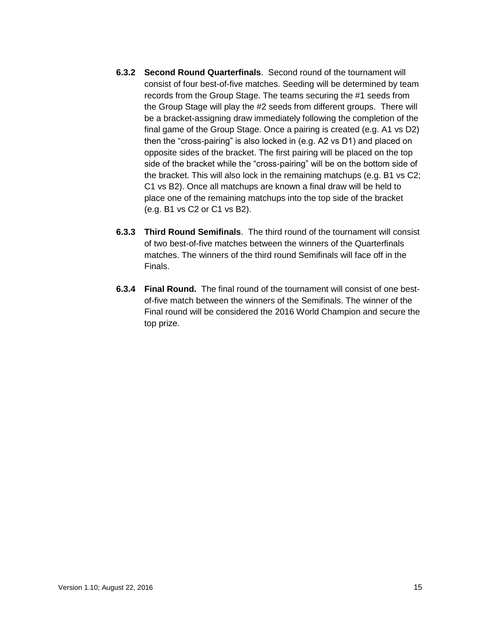- **6.3.2 Second Round Quarterfinals**. Second round of the tournament will consist of four best-of-five matches. Seeding will be determined by team records from the Group Stage. The teams securing the #1 seeds from the Group Stage will play the #2 seeds from different groups. There will be a bracket-assigning draw immediately following the completion of the final game of the Group Stage. Once a pairing is created (e.g. A1 vs D2) then the "cross-pairing" is also locked in (e.g. A2 vs D1) and placed on opposite sides of the bracket. The first pairing will be placed on the top side of the bracket while the "cross-pairing" will be on the bottom side of the bracket. This will also lock in the remaining matchups (e.g. B1 vs C2; C1 vs B2). Once all matchups are known a final draw will be held to place one of the remaining matchups into the top side of the bracket (e.g. B1 vs C2 or C1 vs B2).
- **6.3.3 Third Round Semifinals**. The third round of the tournament will consist of two best-of-five matches between the winners of the Quarterfinals matches. The winners of the third round Semifinals will face off in the Finals.
- **6.3.4 Final Round.** The final round of the tournament will consist of one bestof-five match between the winners of the Semifinals. The winner of the Final round will be considered the 2016 World Champion and secure the top prize.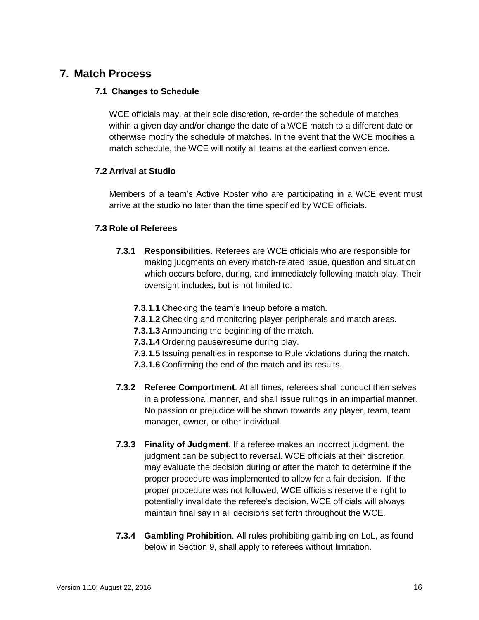# <span id="page-15-0"></span>**7. Match Process**

## <span id="page-15-1"></span>**7.1 Changes to Schedule**

WCE officials may, at their sole discretion, re-order the schedule of matches within a given day and/or change the date of a WCE match to a different date or otherwise modify the schedule of matches. In the event that the WCE modifies a match schedule, the WCE will notify all teams at the earliest convenience.

## <span id="page-15-2"></span>**7.2 Arrival at Studio**

Members of a team's Active Roster who are participating in a WCE event must arrive at the studio no later than the time specified by WCE officials.

# <span id="page-15-3"></span>**7.3 Role of Referees**

- **7.3.1 Responsibilities**. Referees are WCE officials who are responsible for making judgments on every match-related issue, question and situation which occurs before, during, and immediately following match play. Their oversight includes, but is not limited to:
	- **7.3.1.1** Checking the team's lineup before a match.
	- **7.3.1.2** Checking and monitoring player peripherals and match areas.
	- **7.3.1.3** Announcing the beginning of the match.
	- **7.3.1.4** Ordering pause/resume during play.
	- **7.3.1.5** Issuing penalties in response to Rule violations during the match.
	- **7.3.1.6** Confirming the end of the match and its results.
- **7.3.2 Referee Comportment**. At all times, referees shall conduct themselves in a professional manner, and shall issue rulings in an impartial manner. No passion or prejudice will be shown towards any player, team, team manager, owner, or other individual.
- **7.3.3 Finality of Judgment**. If a referee makes an incorrect judgment, the judgment can be subject to reversal. WCE officials at their discretion may evaluate the decision during or after the match to determine if the proper procedure was implemented to allow for a fair decision. If the proper procedure was not followed, WCE officials reserve the right to potentially invalidate the referee's decision. WCE officials will always maintain final say in all decisions set forth throughout the WCE.
- **7.3.4 Gambling Prohibition**. All rules prohibiting gambling on LoL, as found below in Section 9, shall apply to referees without limitation.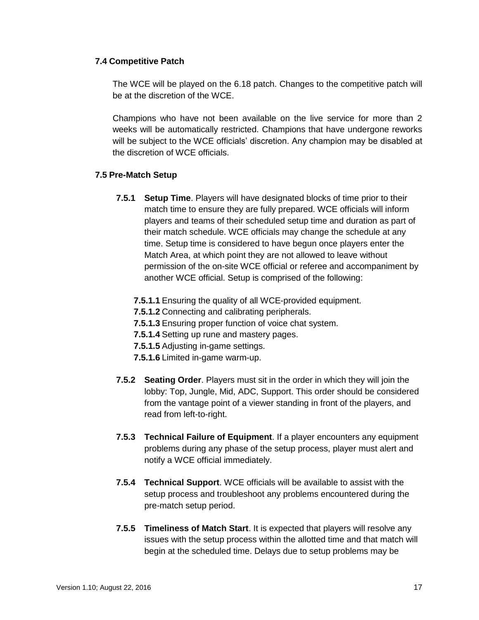## <span id="page-16-0"></span>**7.4 Competitive Patch**

The WCE will be played on the 6.18 patch. Changes to the competitive patch will be at the discretion of the WCE.

Champions who have not been available on the live service for more than 2 weeks will be automatically restricted. Champions that have undergone reworks will be subject to the WCE officials' discretion. Any champion may be disabled at the discretion of WCE officials.

## <span id="page-16-1"></span>**7.5 Pre-Match Setup**

- **7.5.1 Setup Time**. Players will have designated blocks of time prior to their match time to ensure they are fully prepared. WCE officials will inform players and teams of their scheduled setup time and duration as part of their match schedule. WCE officials may change the schedule at any time. Setup time is considered to have begun once players enter the Match Area, at which point they are not allowed to leave without permission of the on-site WCE official or referee and accompaniment by another WCE official. Setup is comprised of the following:
	- **7.5.1.1** Ensuring the quality of all WCE-provided equipment.
	- **7.5.1.2** Connecting and calibrating peripherals.
	- **7.5.1.3** Ensuring proper function of voice chat system.
	- **7.5.1.4** Setting up rune and mastery pages.
	- **7.5.1.5** Adjusting in-game settings.
	- **7.5.1.6** Limited in-game warm-up.
- **7.5.2 Seating Order**. Players must sit in the order in which they will join the lobby: Top, Jungle, Mid, ADC, Support. This order should be considered from the vantage point of a viewer standing in front of the players, and read from left-to-right.
- **7.5.3 Technical Failure of Equipment**. If a player encounters any equipment problems during any phase of the setup process, player must alert and notify a WCE official immediately.
- **7.5.4 Technical Support**. WCE officials will be available to assist with the setup process and troubleshoot any problems encountered during the pre-match setup period.
- **7.5.5 Timeliness of Match Start**. It is expected that players will resolve any issues with the setup process within the allotted time and that match will begin at the scheduled time. Delays due to setup problems may be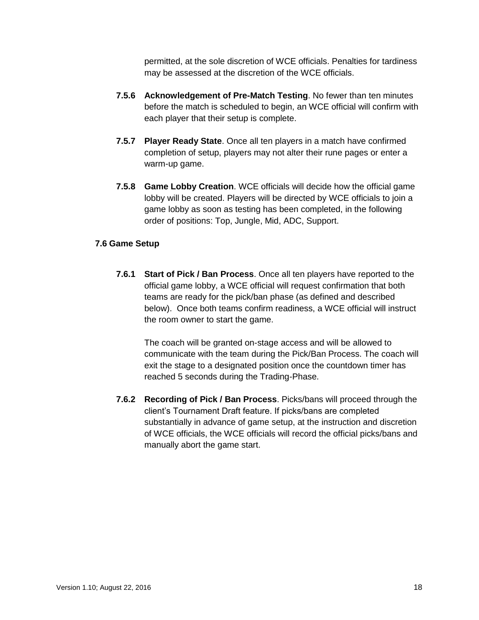permitted, at the sole discretion of WCE officials. Penalties for tardiness may be assessed at the discretion of the WCE officials.

- **7.5.6 Acknowledgement of Pre-Match Testing**. No fewer than ten minutes before the match is scheduled to begin, an WCE official will confirm with each player that their setup is complete.
- **7.5.7 Player Ready State**. Once all ten players in a match have confirmed completion of setup, players may not alter their rune pages or enter a warm-up game.
- **7.5.8 Game Lobby Creation**. WCE officials will decide how the official game lobby will be created. Players will be directed by WCE officials to join a game lobby as soon as testing has been completed, in the following order of positions: Top, Jungle, Mid, ADC, Support.

## <span id="page-17-0"></span>**7.6 Game Setup**

**7.6.1 Start of Pick / Ban Process**. Once all ten players have reported to the official game lobby, a WCE official will request confirmation that both teams are ready for the pick/ban phase (as defined and described below). Once both teams confirm readiness, a WCE official will instruct the room owner to start the game.

The coach will be granted on-stage access and will be allowed to communicate with the team during the Pick/Ban Process. The coach will exit the stage to a designated position once the countdown timer has reached 5 seconds during the Trading-Phase.

**7.6.2 Recording of Pick / Ban Process**. Picks/bans will proceed through the client's Tournament Draft feature. If picks/bans are completed substantially in advance of game setup, at the instruction and discretion of WCE officials, the WCE officials will record the official picks/bans and manually abort the game start.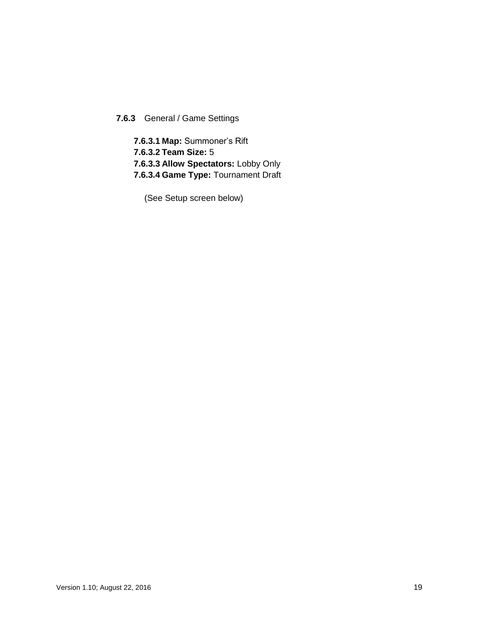# **7.6.3** General / Game Settings

**7.6.3.1 Map:** Summoner's Rift **7.6.3.2 Team Size:** 5 **7.6.3.3 Allow Spectators:** Lobby Only **7.6.3.4 Game Type:** Tournament Draft

(See Setup screen below)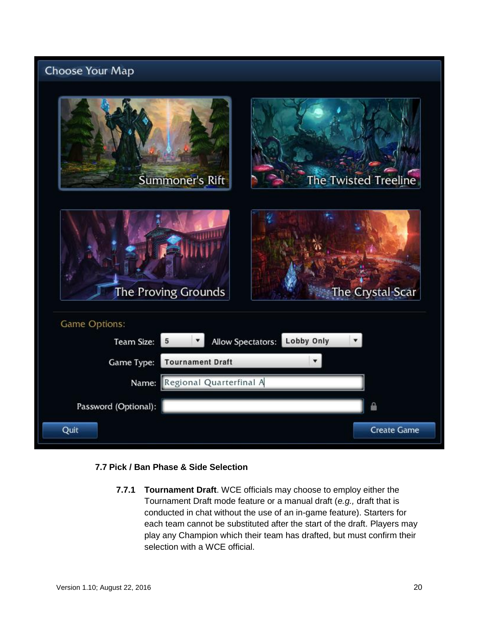# **Choose Your Map**



### <span id="page-19-0"></span>**7.7 Pick / Ban Phase & Side Selection**

**7.7.1 Tournament Draft**. WCE officials may choose to employ either the Tournament Draft mode feature or a manual draft (*e.g.,* draft that is conducted in chat without the use of an in-game feature). Starters for each team cannot be substituted after the start of the draft. Players may play any Champion which their team has drafted, but must confirm their selection with a WCE official.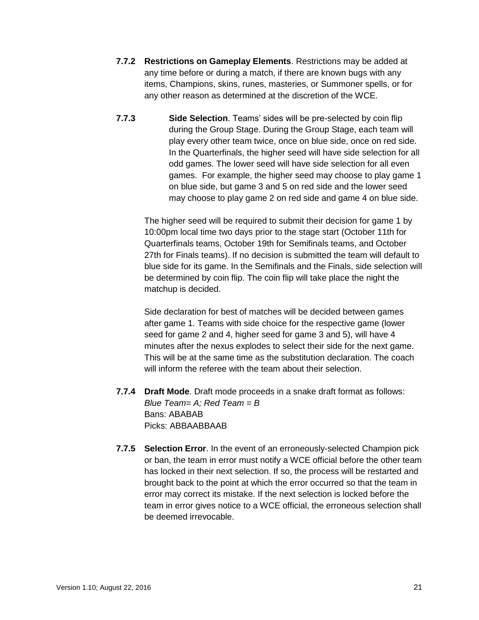- **7.7.2 Restrictions on Gameplay Elements**. Restrictions may be added at any time before or during a match, if there are known bugs with any items, Champions, skins, runes, masteries, or Summoner spells, or for any other reason as determined at the discretion of the WCE.
- **7.7.3 Side Selection**. Teams' sides will be pre-selected by coin flip during the Group Stage. During the Group Stage, each team will play every other team twice, once on blue side, once on red side. In the Quarterfinals, the higher seed will have side selection for all odd games. The lower seed will have side selection for all even games. For example, the higher seed may choose to play game 1 on blue side, but game 3 and 5 on red side and the lower seed may choose to play game 2 on red side and game 4 on blue side.

The higher seed will be required to submit their decision for game 1 by 10:00pm local time two days prior to the stage start (October 11th for Quarterfinals teams, October 19th for Semifinals teams, and October 27th for Finals teams). If no decision is submitted the team will default to blue side for its game. In the Semifinals and the Finals, side selection will be determined by coin flip. The coin flip will take place the night the matchup is decided.

Side declaration for best of matches will be decided between games after game 1. Teams with side choice for the respective game (lower seed for game 2 and 4, higher seed for game 3 and 5), will have 4 minutes after the nexus explodes to select their side for the next game. This will be at the same time as the substitution declaration. The coach will inform the referee with the team about their selection.

- **7.7.4 Draft Mode**. Draft mode proceeds in a snake draft format as follows: *Blue Team= A; Red Team = B* Bans: ABABAB Picks: ABBAABBAAB
- **7.7.5 Selection Error**. In the event of an erroneously-selected Champion pick or ban, the team in error must notify a WCE official before the other team has locked in their next selection. If so, the process will be restarted and brought back to the point at which the error occurred so that the team in error may correct its mistake. If the next selection is locked before the team in error gives notice to a WCE official, the erroneous selection shall be deemed irrevocable.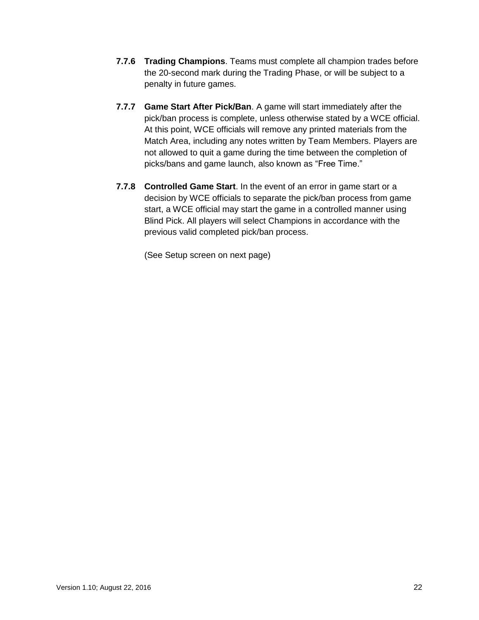- **7.7.6 Trading Champions**. Teams must complete all champion trades before the 20-second mark during the Trading Phase, or will be subject to a penalty in future games.
- **7.7.7 Game Start After Pick/Ban**. A game will start immediately after the pick/ban process is complete, unless otherwise stated by a WCE official. At this point, WCE officials will remove any printed materials from the Match Area, including any notes written by Team Members. Players are not allowed to quit a game during the time between the completion of picks/bans and game launch, also known as "Free Time."
- **7.7.8 Controlled Game Start**. In the event of an error in game start or a decision by WCE officials to separate the pick/ban process from game start, a WCE official may start the game in a controlled manner using Blind Pick. All players will select Champions in accordance with the previous valid completed pick/ban process.

(See Setup screen on next page)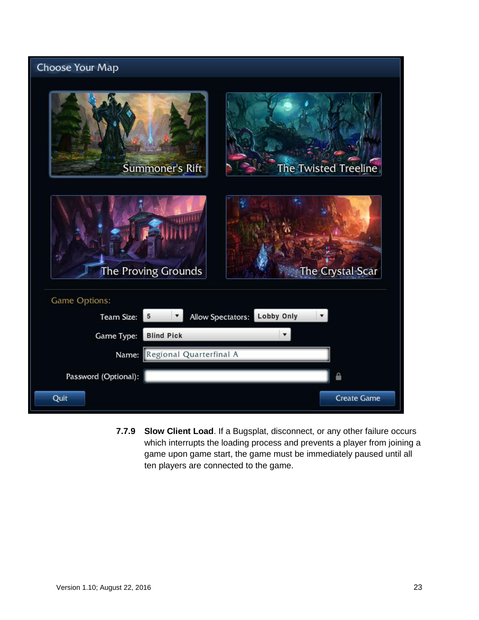# Choose Your Map Summoner's Rift The Twisted Treeline The Proving Grounds The Crystal Scar Game Options: Allow Spectators: Lobby Only 5  $\pmb{\mathrm{v}}$ Team Size: Game Type: **Blind Pick** ¥ Regional Quarterfinal A Name: Password (Optional): ≙ Quit **Create Game**

**7.7.9 Slow Client Load**. If a Bugsplat, disconnect, or any other failure occurs which interrupts the loading process and prevents a player from joining a game upon game start, the game must be immediately paused until all ten players are connected to the game.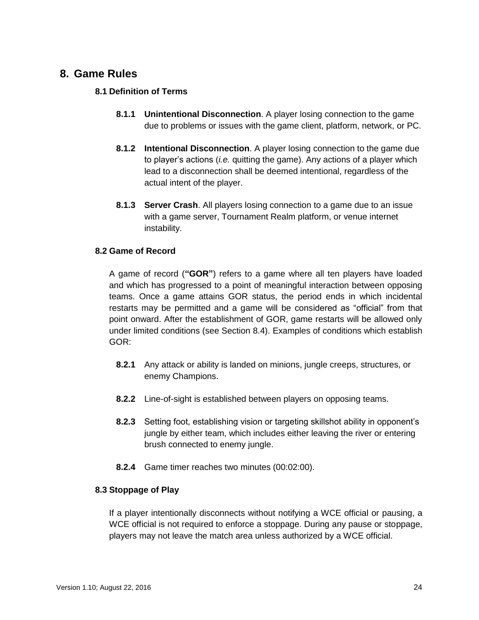# <span id="page-23-1"></span><span id="page-23-0"></span>**8. Game Rules**

## **8.1 Definition of Terms**

- **8.1.1 Unintentional Disconnection**. A player losing connection to the game due to problems or issues with the game client, platform, network, or PC.
- **8.1.2 Intentional Disconnection**. A player losing connection to the game due to player's actions (*i.e.* quitting the game). Any actions of a player which lead to a disconnection shall be deemed intentional, regardless of the actual intent of the player.
- **8.1.3 Server Crash**. All players losing connection to a game due to an issue with a game server, Tournament Realm platform, or venue internet instability.

### <span id="page-23-2"></span>**8.2 Game of Record**

A game of record (**"GOR"**) refers to a game where all ten players have loaded and which has progressed to a point of meaningful interaction between opposing teams. Once a game attains GOR status, the period ends in which incidental restarts may be permitted and a game will be considered as "official" from that point onward. After the establishment of GOR, game restarts will be allowed only under limited conditions (see Section 8.4). Examples of conditions which establish GOR:

- **8.2.1** Any attack or ability is landed on minions, jungle creeps, structures, or enemy Champions.
- **8.2.2** Line-of-sight is established between players on opposing teams.
- **8.2.3** Setting foot, establishing vision or targeting skillshot ability in opponent's jungle by either team, which includes either leaving the river or entering brush connected to enemy jungle.
- **8.2.4** Game timer reaches two minutes (00:02:00).

### <span id="page-23-3"></span>**8.3 Stoppage of Play**

If a player intentionally disconnects without notifying a WCE official or pausing, a WCE official is not required to enforce a stoppage. During any pause or stoppage, players may not leave the match area unless authorized by a WCE official.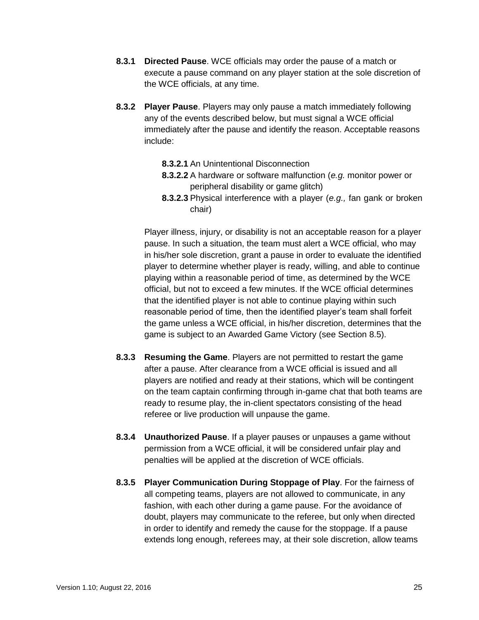- **8.3.1 Directed Pause**. WCE officials may order the pause of a match or execute a pause command on any player station at the sole discretion of the WCE officials, at any time.
- **8.3.2 Player Pause**. Players may only pause a match immediately following any of the events described below, but must signal a WCE official immediately after the pause and identify the reason. Acceptable reasons include:
	- **8.3.2.1** An Unintentional Disconnection
	- **8.3.2.2** A hardware or software malfunction (*e.g.* monitor power or peripheral disability or game glitch)
	- **8.3.2.3** Physical interference with a player (*e.g.,* fan gank or broken chair)

Player illness, injury, or disability is not an acceptable reason for a player pause. In such a situation, the team must alert a WCE official, who may in his/her sole discretion, grant a pause in order to evaluate the identified player to determine whether player is ready, willing, and able to continue playing within a reasonable period of time, as determined by the WCE official, but not to exceed a few minutes. If the WCE official determines that the identified player is not able to continue playing within such reasonable period of time, then the identified player's team shall forfeit the game unless a WCE official, in his/her discretion, determines that the game is subject to an Awarded Game Victory (see Section 8.5).

- **8.3.3 Resuming the Game**. Players are not permitted to restart the game after a pause. After clearance from a WCE official is issued and all players are notified and ready at their stations, which will be contingent on the team captain confirming through in-game chat that both teams are ready to resume play, the in-client spectators consisting of the head referee or live production will unpause the game.
- **8.3.4 Unauthorized Pause**. If a player pauses or unpauses a game without permission from a WCE official, it will be considered unfair play and penalties will be applied at the discretion of WCE officials.
- **8.3.5 Player Communication During Stoppage of Play**. For the fairness of all competing teams, players are not allowed to communicate, in any fashion, with each other during a game pause. For the avoidance of doubt, players may communicate to the referee, but only when directed in order to identify and remedy the cause for the stoppage. If a pause extends long enough, referees may, at their sole discretion, allow teams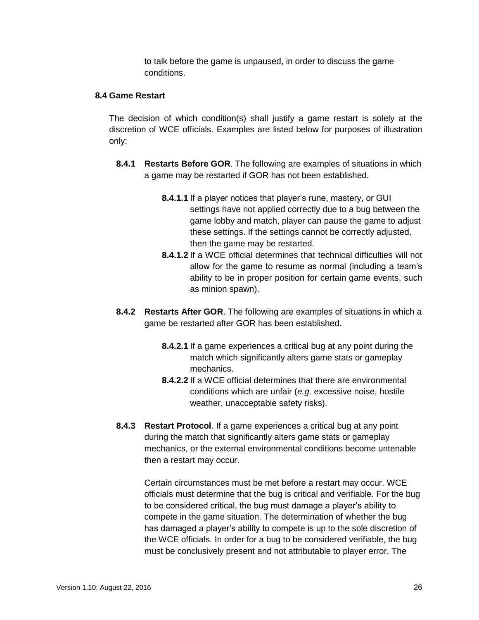to talk before the game is unpaused, in order to discuss the game conditions.

#### <span id="page-25-0"></span>**8.4 Game Restart**

The decision of which condition(s) shall justify a game restart is solely at the discretion of WCE officials. Examples are listed below for purposes of illustration only:

- **8.4.1 Restarts Before GOR**. The following are examples of situations in which a game may be restarted if GOR has not been established.
	- **8.4.1.1** If a player notices that player's rune, mastery, or GUI settings have not applied correctly due to a bug between the game lobby and match, player can pause the game to adjust these settings. If the settings cannot be correctly adjusted, then the game may be restarted.
	- **8.4.1.2** If a WCE official determines that technical difficulties will not allow for the game to resume as normal (including a team's ability to be in proper position for certain game events, such as minion spawn).
- **8.4.2 Restarts After GOR**. The following are examples of situations in which a game be restarted after GOR has been established.
	- **8.4.2.1** If a game experiences a critical bug at any point during the match which significantly alters game stats or gameplay mechanics.
	- **8.4.2.2** If a WCE official determines that there are environmental conditions which are unfair (*e.g.* excessive noise, hostile weather, unacceptable safety risks).
- **8.4.3 Restart Protocol**. If a game experiences a critical bug at any point during the match that significantly alters game stats or gameplay mechanics, or the external environmental conditions become untenable then a restart may occur.

Certain circumstances must be met before a restart may occur. WCE officials must determine that the bug is critical and verifiable. For the bug to be considered critical, the bug must damage a player's ability to compete in the game situation. The determination of whether the bug has damaged a player's ability to compete is up to the sole discretion of the WCE officials. In order for a bug to be considered verifiable, the bug must be conclusively present and not attributable to player error. The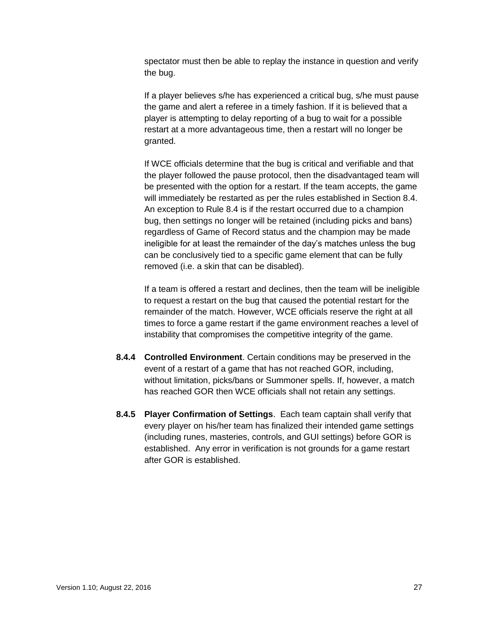spectator must then be able to replay the instance in question and verify the bug.

If a player believes s/he has experienced a critical bug, s/he must pause the game and alert a referee in a timely fashion. If it is believed that a player is attempting to delay reporting of a bug to wait for a possible restart at a more advantageous time, then a restart will no longer be granted.

If WCE officials determine that the bug is critical and verifiable and that the player followed the pause protocol, then the disadvantaged team will be presented with the option for a restart. If the team accepts, the game will immediately be restarted as per the rules established in Section 8.4. An exception to Rule 8.4 is if the restart occurred due to a champion bug, then settings no longer will be retained (including picks and bans) regardless of Game of Record status and the champion may be made ineligible for at least the remainder of the day's matches unless the bug can be conclusively tied to a specific game element that can be fully removed (i.e. a skin that can be disabled).

If a team is offered a restart and declines, then the team will be ineligible to request a restart on the bug that caused the potential restart for the remainder of the match. However, WCE officials reserve the right at all times to force a game restart if the game environment reaches a level of instability that compromises the competitive integrity of the game.

- **8.4.4 Controlled Environment**. Certain conditions may be preserved in the event of a restart of a game that has not reached GOR, including, without limitation, picks/bans or Summoner spells. If, however, a match has reached GOR then WCE officials shall not retain any settings.
- **8.4.5 Player Confirmation of Settings**. Each team captain shall verify that every player on his/her team has finalized their intended game settings (including runes, masteries, controls, and GUI settings) before GOR is established. Any error in verification is not grounds for a game restart after GOR is established.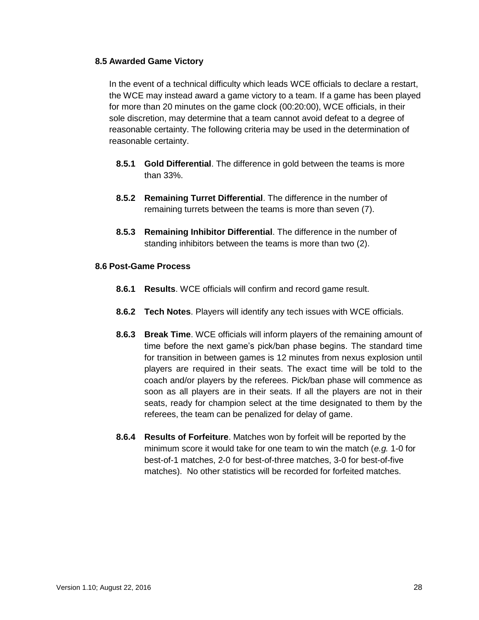#### <span id="page-27-0"></span>**8.5 Awarded Game Victory**

In the event of a technical difficulty which leads WCE officials to declare a restart, the WCE may instead award a game victory to a team. If a game has been played for more than 20 minutes on the game clock (00:20:00), WCE officials, in their sole discretion, may determine that a team cannot avoid defeat to a degree of reasonable certainty. The following criteria may be used in the determination of reasonable certainty.

- **8.5.1 Gold Differential**. The difference in gold between the teams is more than 33%.
- **8.5.2 Remaining Turret Differential**. The difference in the number of remaining turrets between the teams is more than seven (7).
- **8.5.3 Remaining Inhibitor Differential**. The difference in the number of standing inhibitors between the teams is more than two (2).

#### <span id="page-27-1"></span>**8.6 Post-Game Process**

- **8.6.1 Results**. WCE officials will confirm and record game result.
- **8.6.2 Tech Notes**. Players will identify any tech issues with WCE officials.
- **8.6.3 Break Time**. WCE officials will inform players of the remaining amount of time before the next game's pick/ban phase begins. The standard time for transition in between games is 12 minutes from nexus explosion until players are required in their seats. The exact time will be told to the coach and/or players by the referees. Pick/ban phase will commence as soon as all players are in their seats. If all the players are not in their seats, ready for champion select at the time designated to them by the referees, the team can be penalized for delay of game.
- **8.6.4 Results of Forfeiture**. Matches won by forfeit will be reported by the minimum score it would take for one team to win the match (*e.g.* 1-0 for best-of-1 matches, 2-0 for best-of-three matches, 3-0 for best-of-five matches). No other statistics will be recorded for forfeited matches.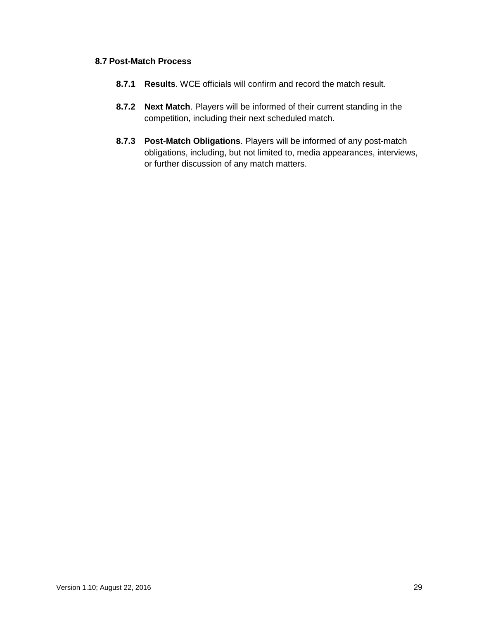## <span id="page-28-0"></span>**8.7 Post-Match Process**

- **8.7.1 Results**. WCE officials will confirm and record the match result.
- **8.7.2 Next Match**. Players will be informed of their current standing in the competition, including their next scheduled match.
- **8.7.3 Post-Match Obligations**. Players will be informed of any post-match obligations, including, but not limited to, media appearances, interviews, or further discussion of any match matters.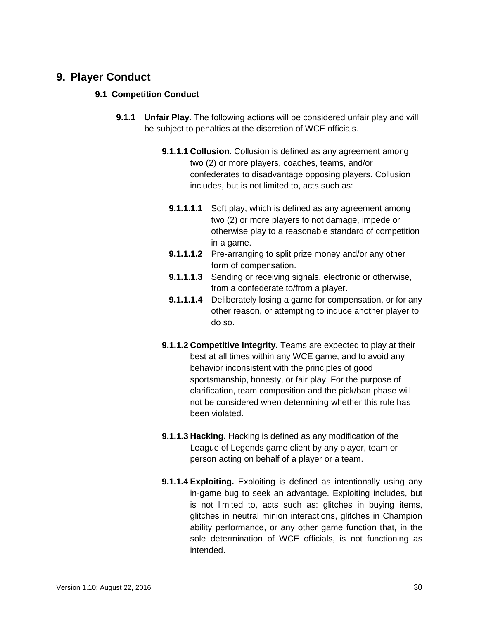# <span id="page-29-0"></span>**9. Player Conduct**

#### <span id="page-29-1"></span>**9.1 Competition Conduct**

- **9.1.1 Unfair Play**. The following actions will be considered unfair play and will be subject to penalties at the discretion of WCE officials.
	- **9.1.1.1 Collusion.** Collusion is defined as any agreement among two (2) or more players, coaches, teams, and/or confederates to disadvantage opposing players. Collusion includes, but is not limited to, acts such as:
		- **9.1.1.1.1.1.1.1.** Soft play, which is defined as any agreement among two (2) or more players to not damage, impede or otherwise play to a reasonable standard of competition in a game.
		- **9.1.1.1.2** Pre-arranging to split prize money and/or any other form of compensation.
		- **9.1.1.1.3** Sending or receiving signals, electronic or otherwise, from a confederate to/from a player.
		- **9.1.1.1.4** Deliberately losing a game for compensation, or for any other reason, or attempting to induce another player to do so.
	- **9.1.1.2 Competitive Integrity.** Teams are expected to play at their best at all times within any WCE game, and to avoid any behavior inconsistent with the principles of good sportsmanship, honesty, or fair play. For the purpose of clarification, team composition and the pick/ban phase will not be considered when determining whether this rule has been violated.
	- **9.1.1.3 Hacking.** Hacking is defined as any modification of the League of Legends game client by any player, team or person acting on behalf of a player or a team.
	- **9.1.1.4 Exploiting.** Exploiting is defined as intentionally using any in-game bug to seek an advantage. Exploiting includes, but is not limited to, acts such as: glitches in buying items, glitches in neutral minion interactions, glitches in Champion ability performance, or any other game function that, in the sole determination of WCE officials, is not functioning as intended.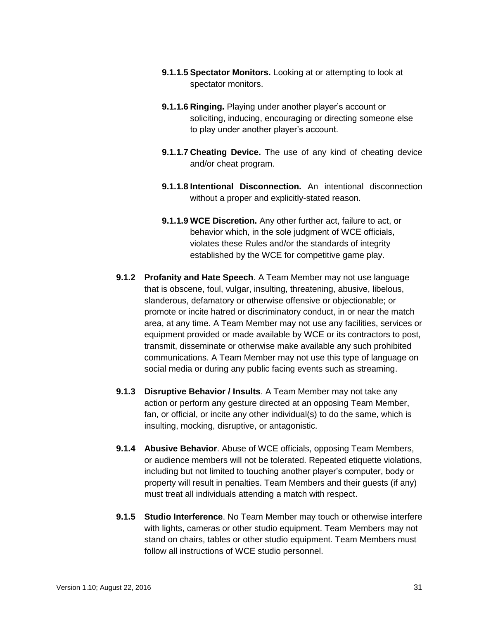- **9.1.1.5 Spectator Monitors.** Looking at or attempting to look at spectator monitors.
- **9.1.1.6 Ringing.** Playing under another player's account or soliciting, inducing, encouraging or directing someone else to play under another player's account.
- **9.1.1.7 Cheating Device.** The use of any kind of cheating device and/or cheat program.
- **9.1.1.8 Intentional Disconnection.** An intentional disconnection without a proper and explicitly-stated reason.
- **9.1.1.9 WCE Discretion.** Any other further act, failure to act, or behavior which, in the sole judgment of WCE officials, violates these Rules and/or the standards of integrity established by the WCE for competitive game play.
- **9.1.2 Profanity and Hate Speech**. A Team Member may not use language that is obscene, foul, vulgar, insulting, threatening, abusive, libelous, slanderous, defamatory or otherwise offensive or objectionable; or promote or incite hatred or discriminatory conduct, in or near the match area, at any time. A Team Member may not use any facilities, services or equipment provided or made available by WCE or its contractors to post, transmit, disseminate or otherwise make available any such prohibited communications. A Team Member may not use this type of language on social media or during any public facing events such as streaming.
- **9.1.3 Disruptive Behavior / Insults**. A Team Member may not take any action or perform any gesture directed at an opposing Team Member, fan, or official, or incite any other individual(s) to do the same, which is insulting, mocking, disruptive, or antagonistic.
- **9.1.4 Abusive Behavior**. Abuse of WCE officials, opposing Team Members, or audience members will not be tolerated. Repeated etiquette violations, including but not limited to touching another player's computer, body or property will result in penalties. Team Members and their guests (if any) must treat all individuals attending a match with respect.
- **9.1.5 Studio Interference**. No Team Member may touch or otherwise interfere with lights, cameras or other studio equipment. Team Members may not stand on chairs, tables or other studio equipment. Team Members must follow all instructions of WCE studio personnel.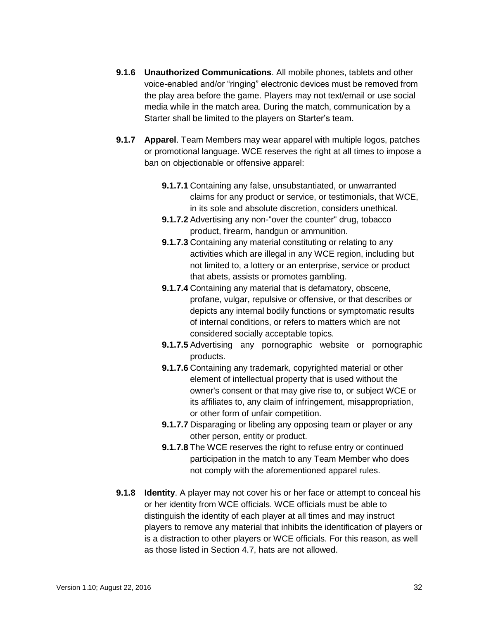- **9.1.6 Unauthorized Communications**. All mobile phones, tablets and other voice-enabled and/or "ringing" electronic devices must be removed from the play area before the game. Players may not text/email or use social media while in the match area. During the match, communication by a Starter shall be limited to the players on Starter's team.
- **9.1.7 Apparel**. Team Members may wear apparel with multiple logos, patches or promotional language. WCE reserves the right at all times to impose a ban on objectionable or offensive apparel:
	- **9.1.7.1** Containing any false, unsubstantiated, or unwarranted claims for any product or service, or testimonials, that WCE, in its sole and absolute discretion, considers unethical.
	- **9.1.7.2** Advertising any non-"over the counter" drug, tobacco product, firearm, handgun or ammunition.
	- **9.1.7.3** Containing any material constituting or relating to any activities which are illegal in any WCE region, including but not limited to, a lottery or an enterprise, service or product that abets, assists or promotes gambling.
	- **9.1.7.4** Containing any material that is defamatory, obscene, profane, vulgar, repulsive or offensive, or that describes or depicts any internal bodily functions or symptomatic results of internal conditions, or refers to matters which are not considered socially acceptable topics.
	- **9.1.7.5** Advertising any pornographic website or pornographic products.
	- **9.1.7.6** Containing any trademark, copyrighted material or other element of intellectual property that is used without the owner's consent or that may give rise to, or subject WCE or its affiliates to, any claim of infringement, misappropriation, or other form of unfair competition.
	- **9.1.7.7** Disparaging or libeling any opposing team or player or any other person, entity or product.
	- **9.1.7.8** The WCE reserves the right to refuse entry or continued participation in the match to any Team Member who does not comply with the aforementioned apparel rules.
- **9.1.8 Identity**. A player may not cover his or her face or attempt to conceal his or her identity from WCE officials. WCE officials must be able to distinguish the identity of each player at all times and may instruct players to remove any material that inhibits the identification of players or is a distraction to other players or WCE officials. For this reason, as well as those listed in Section 4.7, hats are not allowed.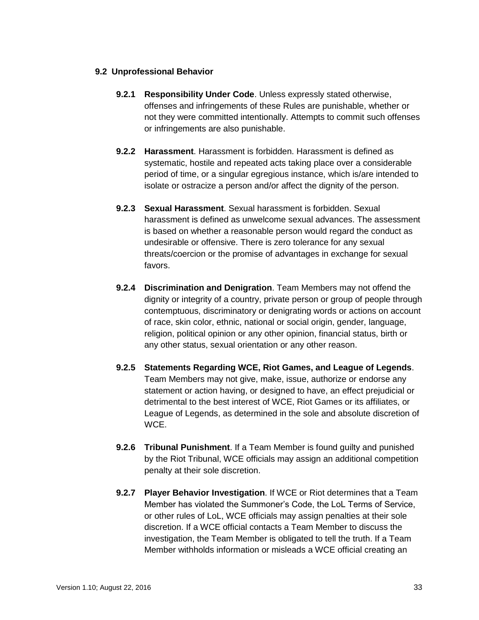## <span id="page-32-0"></span>**9.2 Unprofessional Behavior**

- **9.2.1 Responsibility Under Code**. Unless expressly stated otherwise, offenses and infringements of these Rules are punishable, whether or not they were committed intentionally. Attempts to commit such offenses or infringements are also punishable.
- **9.2.2 Harassment**. Harassment is forbidden. Harassment is defined as systematic, hostile and repeated acts taking place over a considerable period of time, or a singular egregious instance, which is/are intended to isolate or ostracize a person and/or affect the dignity of the person.
- **9.2.3 Sexual Harassment**. Sexual harassment is forbidden. Sexual harassment is defined as unwelcome sexual advances. The assessment is based on whether a reasonable person would regard the conduct as undesirable or offensive. There is zero tolerance for any sexual threats/coercion or the promise of advantages in exchange for sexual favors.
- **9.2.4 Discrimination and Denigration**. Team Members may not offend the dignity or integrity of a country, private person or group of people through contemptuous, discriminatory or denigrating words or actions on account of race, skin color, ethnic, national or social origin, gender, language, religion, political opinion or any other opinion, financial status, birth or any other status, sexual orientation or any other reason.
- **9.2.5 Statements Regarding WCE, Riot Games, and League of Legends**. Team Members may not give, make, issue, authorize or endorse any statement or action having, or designed to have, an effect prejudicial or detrimental to the best interest of WCE, Riot Games or its affiliates, or League of Legends, as determined in the sole and absolute discretion of WCE.
- **9.2.6 Tribunal Punishment**. If a Team Member is found guilty and punished by the Riot Tribunal, WCE officials may assign an additional competition penalty at their sole discretion.
- **9.2.7 Player Behavior Investigation**. If WCE or Riot determines that a Team Member has violated the Summoner's Code, the LoL Terms of Service, or other rules of LoL, WCE officials may assign penalties at their sole discretion. If a WCE official contacts a Team Member to discuss the investigation, the Team Member is obligated to tell the truth. If a Team Member withholds information or misleads a WCE official creating an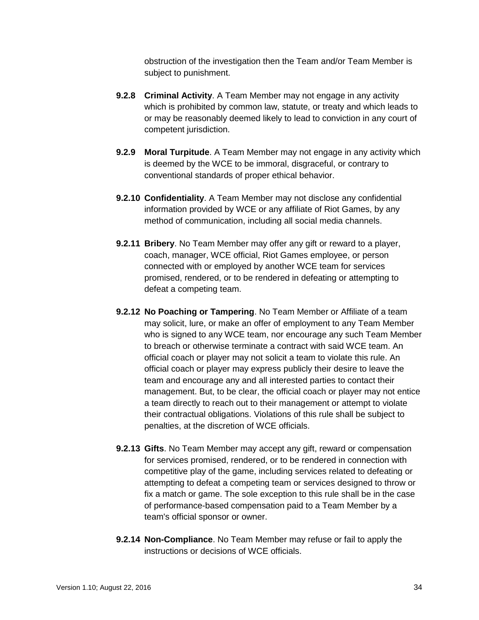obstruction of the investigation then the Team and/or Team Member is subject to punishment.

- **9.2.8 Criminal Activity**. A Team Member may not engage in any activity which is prohibited by common law, statute, or treaty and which leads to or may be reasonably deemed likely to lead to conviction in any court of competent jurisdiction.
- **9.2.9 Moral Turpitude**. A Team Member may not engage in any activity which is deemed by the WCE to be immoral, disgraceful, or contrary to conventional standards of proper ethical behavior.
- **9.2.10 Confidentiality**. A Team Member may not disclose any confidential information provided by WCE or any affiliate of Riot Games, by any method of communication, including all social media channels.
- **9.2.11 Bribery**. No Team Member may offer any gift or reward to a player, coach, manager, WCE official, Riot Games employee, or person connected with or employed by another WCE team for services promised, rendered, or to be rendered in defeating or attempting to defeat a competing team.
- **9.2.12 No Poaching or Tampering**. No Team Member or Affiliate of a team may solicit, lure, or make an offer of employment to any Team Member who is signed to any WCE team, nor encourage any such Team Member to breach or otherwise terminate a contract with said WCE team. An official coach or player may not solicit a team to violate this rule. An official coach or player may express publicly their desire to leave the team and encourage any and all interested parties to contact their management. But, to be clear, the official coach or player may not entice a team directly to reach out to their management or attempt to violate their contractual obligations. Violations of this rule shall be subject to penalties, at the discretion of WCE officials.
- **9.2.13 Gifts**. No Team Member may accept any gift, reward or compensation for services promised, rendered, or to be rendered in connection with competitive play of the game, including services related to defeating or attempting to defeat a competing team or services designed to throw or fix a match or game. The sole exception to this rule shall be in the case of performance-based compensation paid to a Team Member by a team's official sponsor or owner.
- **9.2.14 Non-Compliance**. No Team Member may refuse or fail to apply the instructions or decisions of WCE officials.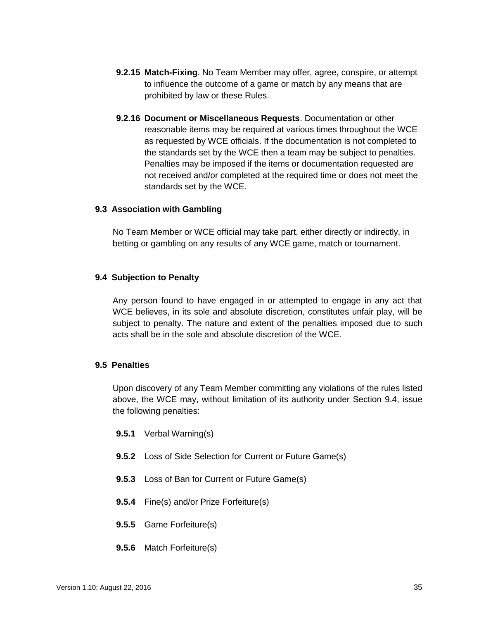- **9.2.15 Match-Fixing**. No Team Member may offer, agree, conspire, or attempt to influence the outcome of a game or match by any means that are prohibited by law or these Rules.
- **9.2.16 Document or Miscellaneous Requests**. Documentation or other reasonable items may be required at various times throughout the WCE as requested by WCE officials. If the documentation is not completed to the standards set by the WCE then a team may be subject to penalties. Penalties may be imposed if the items or documentation requested are not received and/or completed at the required time or does not meet the standards set by the WCE.

#### <span id="page-34-0"></span>**9.3 Association with Gambling**

No Team Member or WCE official may take part, either directly or indirectly, in betting or gambling on any results of any WCE game, match or tournament.

#### <span id="page-34-1"></span>**9.4 Subjection to Penalty**

Any person found to have engaged in or attempted to engage in any act that WCE believes, in its sole and absolute discretion, constitutes unfair play, will be subject to penalty. The nature and extent of the penalties imposed due to such acts shall be in the sole and absolute discretion of the WCE.

#### <span id="page-34-2"></span>**9.5 Penalties**

Upon discovery of any Team Member committing any violations of the rules listed above, the WCE may, without limitation of its authority under Section 9.4, issue the following penalties:

- **9.5.1** Verbal Warning(s)
- **9.5.2** Loss of Side Selection for Current or Future Game(s)
- **9.5.3** Loss of Ban for Current or Future Game(s)
- **9.5.4** Fine(s) and/or Prize Forfeiture(s)
- **9.5.5** Game Forfeiture(s)
- **9.5.6** Match Forfeiture(s)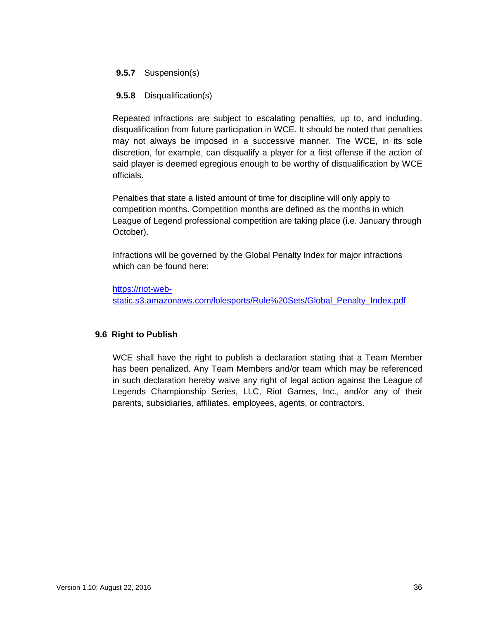### **9.5.7** Suspension(s)

#### **9.5.8** Disqualification(s)

Repeated infractions are subject to escalating penalties, up to, and including, disqualification from future participation in WCE. It should be noted that penalties may not always be imposed in a successive manner. The WCE, in its sole discretion, for example, can disqualify a player for a first offense if the action of said player is deemed egregious enough to be worthy of disqualification by WCE officials.

Penalties that state a listed amount of time for discipline will only apply to competition months. Competition months are defined as the months in which League of Legend professional competition are taking place (i.e. January through October).

Infractions will be governed by the Global Penalty Index for major infractions which can be found here:

[https://riot-web](https://riot-web-static.s3.amazonaws.com/lolesports/Rule%20Sets/Global_Penalty_Index.pdf)[static.s3.amazonaws.com/lolesports/Rule%20Sets/Global\\_Penalty\\_Index.pdf](https://riot-web-static.s3.amazonaws.com/lolesports/Rule%20Sets/Global_Penalty_Index.pdf)

#### <span id="page-35-0"></span>**9.6 Right to Publish**

WCE shall have the right to publish a declaration stating that a Team Member has been penalized. Any Team Members and/or team which may be referenced in such declaration hereby waive any right of legal action against the League of Legends Championship Series, LLC, Riot Games, Inc., and/or any of their parents, subsidiaries, affiliates, employees, agents, or contractors.